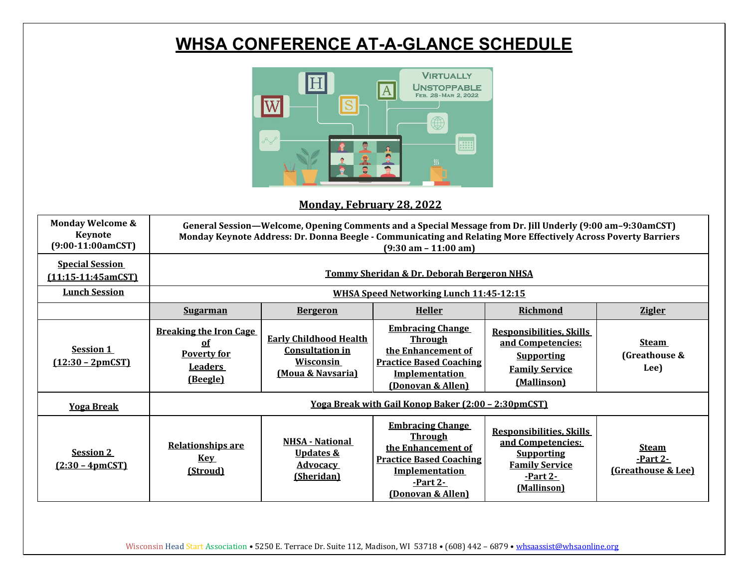# **WHSA CONFERENCE AT-A-GLANCE SCHEDULE**



### **Monday, February 28, 2022**

| <b>Monday Welcome &amp;</b><br><b>Keynote</b><br>$(9:00-11:00amCST)$   | General Session—Welcome, Opening Comments and a Special Message from Dr. Jill Underly (9:00 am-9:30amCST)<br>Monday Keynote Address: Dr. Donna Beegle - Communicating and Relating More Effectively Across Poverty Barriers<br>$(9:30 \text{ am} - 11:00 \text{ am})$ |                                                                                                      |                                                                                                                                                                    |                                                                                                                               |                                                |  |  |  |
|------------------------------------------------------------------------|-----------------------------------------------------------------------------------------------------------------------------------------------------------------------------------------------------------------------------------------------------------------------|------------------------------------------------------------------------------------------------------|--------------------------------------------------------------------------------------------------------------------------------------------------------------------|-------------------------------------------------------------------------------------------------------------------------------|------------------------------------------------|--|--|--|
| <b>Special Session</b><br>$(11:15-11:45amCST)$<br><b>Lunch Session</b> | <b>Tommy Sheridan &amp; Dr. Deborah Bergeron NHSA</b>                                                                                                                                                                                                                 |                                                                                                      |                                                                                                                                                                    |                                                                                                                               |                                                |  |  |  |
|                                                                        | <b>WHSA Speed Networking Lunch 11:45-12:15</b>                                                                                                                                                                                                                        |                                                                                                      |                                                                                                                                                                    |                                                                                                                               |                                                |  |  |  |
|                                                                        | <b>Sugarman</b>                                                                                                                                                                                                                                                       | <b>Bergeron</b>                                                                                      | <b>Heller</b>                                                                                                                                                      | <b>Richmond</b>                                                                                                               | <b>Zigler</b>                                  |  |  |  |
| Session 1<br>$(12:30 - 2pmCST)$                                        | <b>Breaking the Iron Cage</b><br>of<br><b>Poverty for</b><br><b>Leaders</b><br>(Beegle)                                                                                                                                                                               | <b>Early Childhood Health</b><br><b>Consultation in</b><br>Wisconsin<br><u>(Moua &amp; Navsaria)</u> | <b>Embracing Change</b><br><u>Through</u><br>the Enhancement of<br><b>Practice Based Coaching</b><br><b>Implementation</b><br>(Donovan & Allen)                    | <b>Responsibilities, Skills</b><br>and Competencies:<br><b>Supporting</b><br><b>Family Service</b><br>(Mallinson)             | <b>Steam</b><br>(Greathouse &<br>Lee)          |  |  |  |
| <b>Yoga Break</b>                                                      | <u> Yoga Break with Gail Konop Baker (2:00 - 2:30pmCST)</u>                                                                                                                                                                                                           |                                                                                                      |                                                                                                                                                                    |                                                                                                                               |                                                |  |  |  |
| <b>Session 2</b><br>$(2:30 - 4pmCST)$                                  | <b>Relationships are</b><br><b>Key</b><br>(Stroud)                                                                                                                                                                                                                    | <b>NHSA - National</b><br><u>Updates &amp;</u><br><b>Advocacy</b><br>(Sheridan)                      | <b>Embracing Change</b><br><b>Through</b><br>the Enhancement of<br><b>Practice Based Coaching</b><br><b>Implementation</b><br><u>-Part 2-</u><br>(Donovan & Allen) | <b>Responsibilities, Skills</b><br>and Competencies:<br><b>Supporting</b><br><b>Family Service</b><br>-Part 2-<br>(Mallinson) | <b>Steam</b><br>-Part 2-<br>(Greathouse & Lee) |  |  |  |

Wisconsin Head Start Association • 5250 E. Terrace Dr. Suite 112, Madison, WI 53718 • (608) 442 - 6879 • whsaassist@whsaonline.org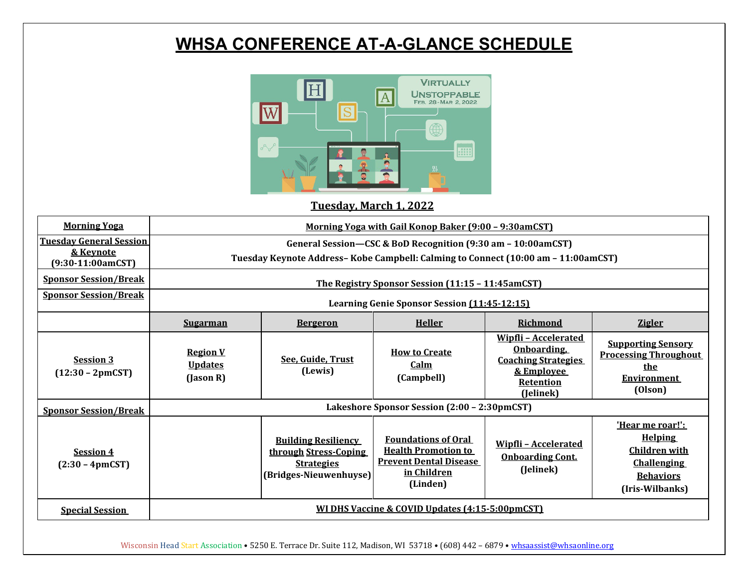## **WHSA CONFERENCE AT-A-GLANCE SCHEDULE**



#### **Tuesday, March 1, 2022**

| <b>Morning Yoga</b>                                                | <u> Morning Yoga with Gail Konop Baker (9:00 - 9:30amCST)</u>                                                                                     |                                                                                                    |                                                                                                                      |                                                                                                                       |                                                                                                                         |  |  |  |
|--------------------------------------------------------------------|---------------------------------------------------------------------------------------------------------------------------------------------------|----------------------------------------------------------------------------------------------------|----------------------------------------------------------------------------------------------------------------------|-----------------------------------------------------------------------------------------------------------------------|-------------------------------------------------------------------------------------------------------------------------|--|--|--|
| <b>Tuesday General Session</b><br>& Keynote<br>$(9:30-11:00amCST)$ | General Session-CSC & BoD Recognition (9:30 am - 10:00amCST)<br>Tuesday Keynote Address-Kobe Campbell: Calming to Connect (10:00 am - 11:00amCST) |                                                                                                    |                                                                                                                      |                                                                                                                       |                                                                                                                         |  |  |  |
| <b>Sponsor Session/Break</b>                                       | The Registry Sponsor Session (11:15 - 11:45amCST)                                                                                                 |                                                                                                    |                                                                                                                      |                                                                                                                       |                                                                                                                         |  |  |  |
| <b>Sponsor Session/Break</b>                                       | Learning Genie Sponsor Session (11:45-12:15)                                                                                                      |                                                                                                    |                                                                                                                      |                                                                                                                       |                                                                                                                         |  |  |  |
|                                                                    | <b>Sugarman</b>                                                                                                                                   | <b>Bergeron</b>                                                                                    | <b>Heller</b>                                                                                                        | Richmond                                                                                                              | <b>Zigler</b>                                                                                                           |  |  |  |
| <b>Session 3</b><br>$(12:30 - 2pmCST)$                             | <b>Region V</b><br><b>Updates</b><br>(Jason R)                                                                                                    | See, Guide, Trust<br>(Lewis)                                                                       | <b>How to Create</b><br>Calm<br>(Campbell)                                                                           | <b>Wipfli-Accelerated</b><br>Onboarding,<br><b>Coaching Strategies</b><br>& Employee<br><b>Retention</b><br>(Jelinek) | <b>Supporting Sensory</b><br><b>Processing Throughout</b><br>the<br>Environment<br>(Olson)                              |  |  |  |
| <b>Sponsor Session/Break</b>                                       | Lakeshore Sponsor Session (2:00 - 2:30pmCST)                                                                                                      |                                                                                                    |                                                                                                                      |                                                                                                                       |                                                                                                                         |  |  |  |
| <b>Session 4</b><br>$(2:30 - 4pmCST)$                              |                                                                                                                                                   | <b>Building Resiliency</b><br>through Stress-Coping<br><b>Strategies</b><br>(Bridges-Nieuwenhuyse) | <b>Foundations of Oral</b><br><b>Health Promotion to</b><br><b>Prevent Dental Disease</b><br>in Children<br>(Linden) | <b>Wipfli-Accelerated</b><br><b>Onboarding Cont.</b><br>(Jelinek)                                                     | 'Hear me roar!':<br><b>Helping</b><br><b>Children with</b><br><b>Challenging</b><br><b>Behaviors</b><br>(Iris-Wilbanks) |  |  |  |
| <b>Special Session</b>                                             | WI DHS Vaccine & COVID Updates (4:15-5:00pmCST)                                                                                                   |                                                                                                    |                                                                                                                      |                                                                                                                       |                                                                                                                         |  |  |  |

Wisconsin Head Start Association • 5250 E. Terrace Dr. Suite 112, Madison, WI 53718 • (608) 442 - 6879 • whsaassist@whsaonline.org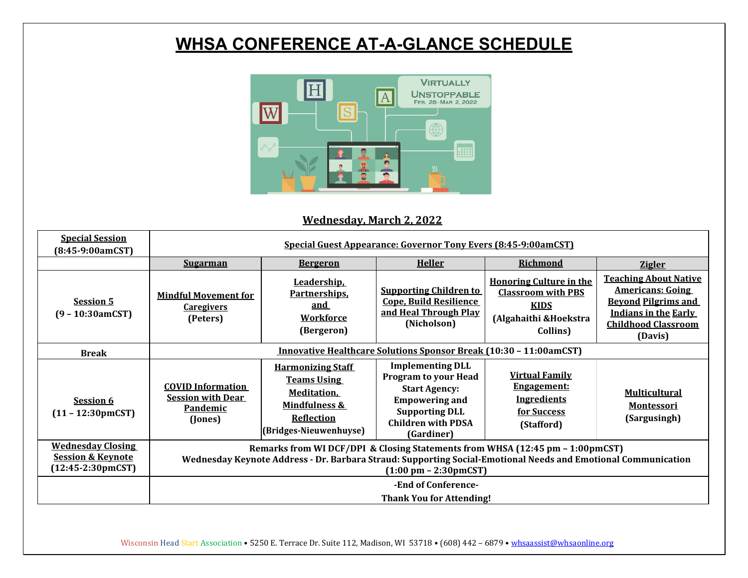## **WHSA CONFERENCE AT-A-GLANCE SCHEDULE**



### **Wednesday, March 2, 2022**

| <b>Special Session</b><br>(8:45-9:00amCST)                                              | Special Guest Appearance: Governor Tony Evers (8:45-9:00amCST)                                                                                                                                                                            |                                                                                                                                                  |                                                                                                                                                                             |                                                                                                                  |                                                                                                                                                               |  |  |
|-----------------------------------------------------------------------------------------|-------------------------------------------------------------------------------------------------------------------------------------------------------------------------------------------------------------------------------------------|--------------------------------------------------------------------------------------------------------------------------------------------------|-----------------------------------------------------------------------------------------------------------------------------------------------------------------------------|------------------------------------------------------------------------------------------------------------------|---------------------------------------------------------------------------------------------------------------------------------------------------------------|--|--|
|                                                                                         | <b>Sugarman</b>                                                                                                                                                                                                                           | <b>Bergeron</b>                                                                                                                                  | <b>Heller</b>                                                                                                                                                               | <b>Richmond</b>                                                                                                  | <b>Zigler</b>                                                                                                                                                 |  |  |
| <b>Session 5</b><br>$(9 - 10:30amCST)$                                                  | <b>Mindful Movement for</b><br><b>Caregivers</b><br>(Peters)                                                                                                                                                                              | Leadership,<br><u>Partnerships.</u><br>and<br><u>Workforce</u><br>(Bergeron)                                                                     | <b>Supporting Children to</b><br><b>Cope, Build Resilience</b><br>and Heal Through Play<br>(Nicholson)                                                                      | <b>Honoring Culture in the</b><br><b>Classroom with PBS</b><br><b>KIDS</b><br>(Algahaithi & Hoekstra<br>Collins) | <b>Teaching About Native</b><br><b>Americans: Going</b><br><b>Beyond Pilgrims and</b><br><b>Indians in the Early</b><br><b>Childhood Classroom</b><br>(Davis) |  |  |
| <b>Break</b>                                                                            | Innovative Healthcare Solutions Sponsor Break (10:30 - 11:00amCST)                                                                                                                                                                        |                                                                                                                                                  |                                                                                                                                                                             |                                                                                                                  |                                                                                                                                                               |  |  |
| <b>Session 6</b><br>$(11 - 12:30 \text{pmCST})$                                         | <b>COVID Information</b><br><b>Session with Dear</b><br>Pandemic<br>(Jones)                                                                                                                                                               | <b>Harmonizing Staff</b><br><b>Teams Using</b><br><b>Meditation</b> ,<br><b>Mindfulness &amp;</b><br><b>Reflection</b><br>(Bridges-Nieuwenhuyse) | <b>Implementing DLL</b><br><b>Program to your Head</b><br><b>Start Agency:</b><br><b>Empowering and</b><br><b>Supporting DLL</b><br><b>Children with PDSA</b><br>(Gardiner) | <b>Virtual Family</b><br><b>Engagement:</b><br><b>Ingredients</b><br>for Success<br>(Stafford)                   | <b>Multicultural</b><br><b>Montessori</b><br>(Sargusingh)                                                                                                     |  |  |
| <b>Wednesday Closing</b><br><b>Session &amp; Keynote</b><br>$(12:45-2:30 \text{pmCST})$ | Remarks from WI DCF/DPI & Closing Statements from WHSA (12:45 pm - 1:00pmCST)<br>Wednesday Keynote Address - Dr. Barbara Straud: Supporting Social-Emotional Needs and Emotional Communication<br>$(1:00 \text{ pm} - 2:30 \text{pmCST})$ |                                                                                                                                                  |                                                                                                                                                                             |                                                                                                                  |                                                                                                                                                               |  |  |
|                                                                                         | -End of Conference-<br><b>Thank You for Attending!</b>                                                                                                                                                                                    |                                                                                                                                                  |                                                                                                                                                                             |                                                                                                                  |                                                                                                                                                               |  |  |

Wisconsin Head Start Association • 5250 E. Terrace Dr. Suite 112, Madison, WI 53718 • (608) 442 - 6879 • whsaassist@whsaonline.org